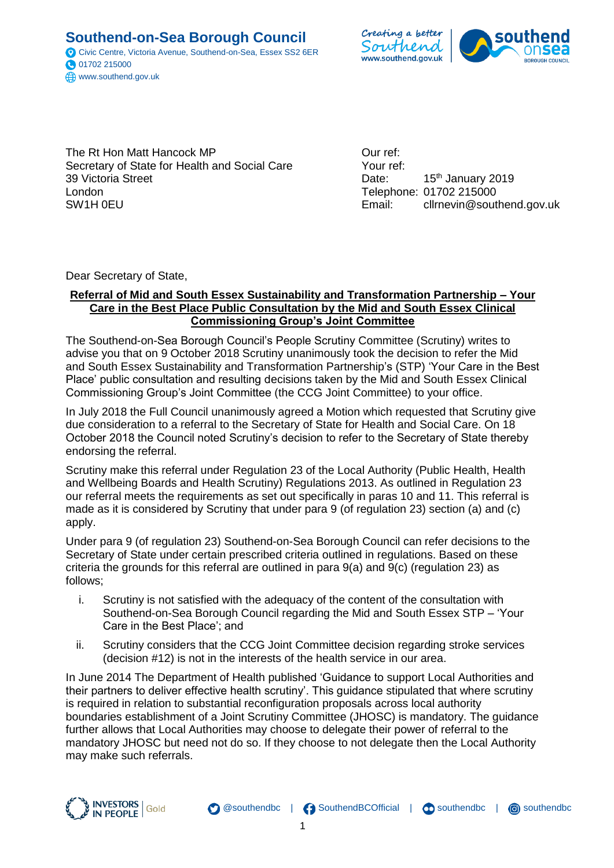**Southend-on-Sea Borough Council** Civic Centre, Victoria Avenue, Southend-on-Sea, Essex SS2 6ER 01702 215000 www.southend.gov.uk



The Rt Hon Matt Hancock MP Secretary of State for Health and Social Care 39 Victoria Street London SW1H 0EU

Our ref: Your ref: Date: 15<sup>th</sup> January 2019 Telephone: 01702 215000 Email: cllrnevin@southend.gov.uk

Dear Secretary of State,

### **Referral of Mid and South Essex Sustainability and Transformation Partnership – Your Care in the Best Place Public Consultation by the Mid and South Essex Clinical Commissioning Group's Joint Committee**

The Southend-on-Sea Borough Council's People Scrutiny Committee (Scrutiny) writes to advise you that on 9 October 2018 Scrutiny unanimously took the decision to refer the Mid and South Essex Sustainability and Transformation Partnership's (STP) 'Your Care in the Best Place' public consultation and resulting decisions taken by the Mid and South Essex Clinical Commissioning Group's Joint Committee (the CCG Joint Committee) to your office.

In July 2018 the Full Council unanimously agreed a Motion which requested that Scrutiny give due consideration to a referral to the Secretary of State for Health and Social Care. On 18 October 2018 the Council noted Scrutiny's decision to refer to the Secretary of State thereby endorsing the referral.

Scrutiny make this referral under Regulation 23 of the Local Authority (Public Health, Health and Wellbeing Boards and Health Scrutiny) Regulations 2013. As outlined in Regulation 23 our referral meets the requirements as set out specifically in paras 10 and 11. This referral is made as it is considered by Scrutiny that under para 9 (of regulation 23) section (a) and (c) apply.

Under para 9 (of regulation 23) Southend-on-Sea Borough Council can refer decisions to the Secretary of State under certain prescribed criteria outlined in regulations. Based on these criteria the grounds for this referral are outlined in para 9(a) and 9(c) (regulation 23) as follows;

- i. Scrutiny is not satisfied with the adequacy of the content of the consultation with Southend-on-Sea Borough Council regarding the Mid and South Essex STP – 'Your Care in the Best Place'; and
- ii. Scrutiny considers that the CCG Joint Committee decision regarding stroke services (decision #12) is not in the interests of the health service in our area.

In June 2014 The Department of Health published 'Guidance to support Local Authorities and their partners to deliver effective health scrutiny'. This guidance stipulated that where scrutiny is required in relation to substantial reconfiguration proposals across local authority boundaries establishment of a Joint Scrutiny Committee (JHOSC) is mandatory. The guidance further allows that Local Authorities may choose to delegate their power of referral to the mandatory JHOSC but need not do so. If they choose to not delegate then the Local Authority may make such referrals.



 @southendbc | SouthendBCOfficial | O southendbc | O southendbc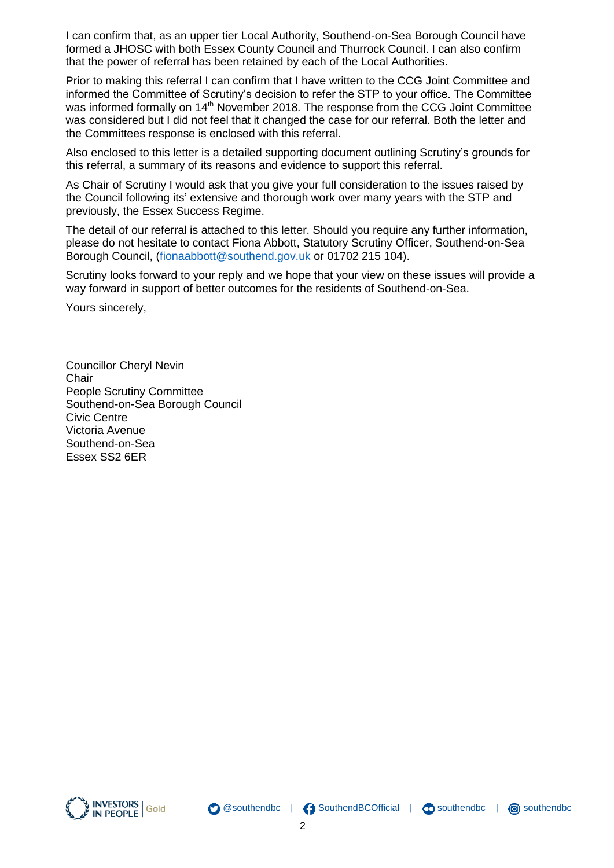I can confirm that, as an upper tier Local Authority, Southend-on-Sea Borough Council have formed a JHOSC with both Essex County Council and Thurrock Council. I can also confirm that the power of referral has been retained by each of the Local Authorities.

Prior to making this referral I can confirm that I have written to the CCG Joint Committee and informed the Committee of Scrutiny's decision to refer the STP to your office. The Committee was informed formally on 14<sup>th</sup> November 2018. The response from the CCG Joint Committee was considered but I did not feel that it changed the case for our referral. Both the letter and the Committees response is enclosed with this referral.

Also enclosed to this letter is a detailed supporting document outlining Scrutiny's grounds for this referral, a summary of its reasons and evidence to support this referral.

As Chair of Scrutiny I would ask that you give your full consideration to the issues raised by the Council following its' extensive and thorough work over many years with the STP and previously, the Essex Success Regime.

The detail of our referral is attached to this letter. Should you require any further information, please do not hesitate to contact Fiona Abbott, Statutory Scrutiny Officer, Southend-on-Sea Borough Council, [\(fionaabbott@southend.gov.uk](mailto:fionaabbott@southend.gov.uk) or 01702 215 104).

Scrutiny looks forward to your reply and we hope that your view on these issues will provide a way forward in support of better outcomes for the residents of Southend-on-Sea.

Yours sincerely,

Councillor Cheryl Nevin **Chair** People Scrutiny Committee Southend-on-Sea Borough Council Civic Centre Victoria Avenue Southend-on-Sea Essex SS2 6ER



SouthendBCOfficial | O southendbc | O southendbc

@southendbc |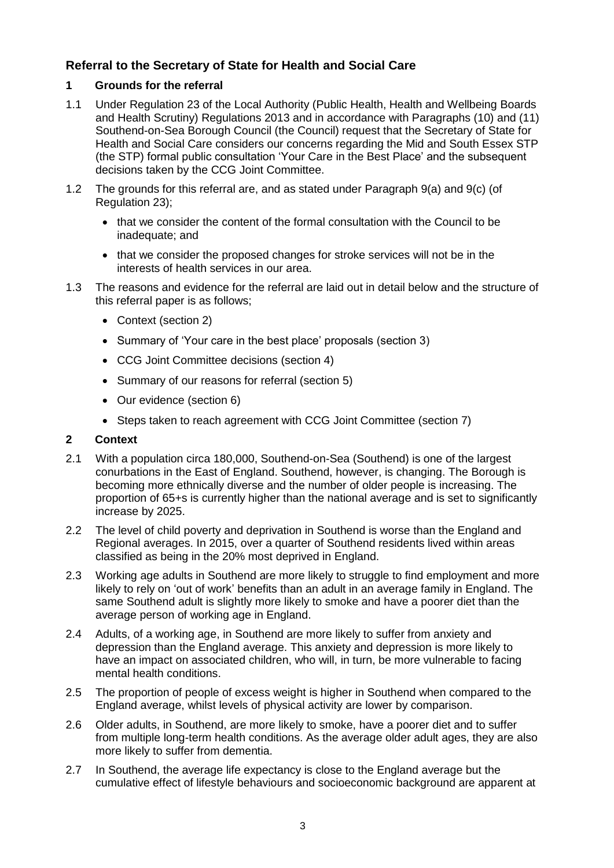# **Referral to the Secretary of State for Health and Social Care**

### **1 Grounds for the referral**

- 1.1 Under Regulation 23 of the Local Authority (Public Health, Health and Wellbeing Boards and Health Scrutiny) Regulations 2013 and in accordance with Paragraphs (10) and (11) Southend-on-Sea Borough Council (the Council) request that the Secretary of State for Health and Social Care considers our concerns regarding the Mid and South Essex STP (the STP) formal public consultation 'Your Care in the Best Place' and the subsequent decisions taken by the CCG Joint Committee.
- 1.2 The grounds for this referral are, and as stated under Paragraph 9(a) and 9(c) (of Regulation 23);
	- that we consider the content of the formal consultation with the Council to be inadequate; and
	- that we consider the proposed changes for stroke services will not be in the interests of health services in our area.
- 1.3 The reasons and evidence for the referral are laid out in detail below and the structure of this referral paper is as follows;
	- Context (section 2)
	- Summary of 'Your care in the best place' proposals (section 3)
	- CCG Joint Committee decisions (section 4)
	- Summary of our reasons for referral (section 5)
	- Our evidence (section 6)
	- Steps taken to reach agreement with CCG Joint Committee (section 7)

### **2 Context**

- 2.1 With a population circa 180,000, Southend-on-Sea (Southend) is one of the largest conurbations in the East of England. Southend, however, is changing. The Borough is becoming more ethnically diverse and the number of older people is increasing. The proportion of 65+s is currently higher than the national average and is set to significantly increase by 2025.
- 2.2 The level of child poverty and deprivation in Southend is worse than the England and Regional averages. In 2015, over a quarter of Southend residents lived within areas classified as being in the 20% most deprived in England.
- 2.3 Working age adults in Southend are more likely to struggle to find employment and more likely to rely on 'out of work' benefits than an adult in an average family in England. The same Southend adult is slightly more likely to smoke and have a poorer diet than the average person of working age in England.
- 2.4 Adults, of a working age, in Southend are more likely to suffer from anxiety and depression than the England average. This anxiety and depression is more likely to have an impact on associated children, who will, in turn, be more vulnerable to facing mental health conditions.
- 2.5 The proportion of people of excess weight is higher in Southend when compared to the England average, whilst levels of physical activity are lower by comparison.
- 2.6 Older adults, in Southend, are more likely to smoke, have a poorer diet and to suffer from multiple long-term health conditions. As the average older adult ages, they are also more likely to suffer from dementia.
- 2.7 In Southend, the average life expectancy is close to the England average but the cumulative effect of lifestyle behaviours and socioeconomic background are apparent at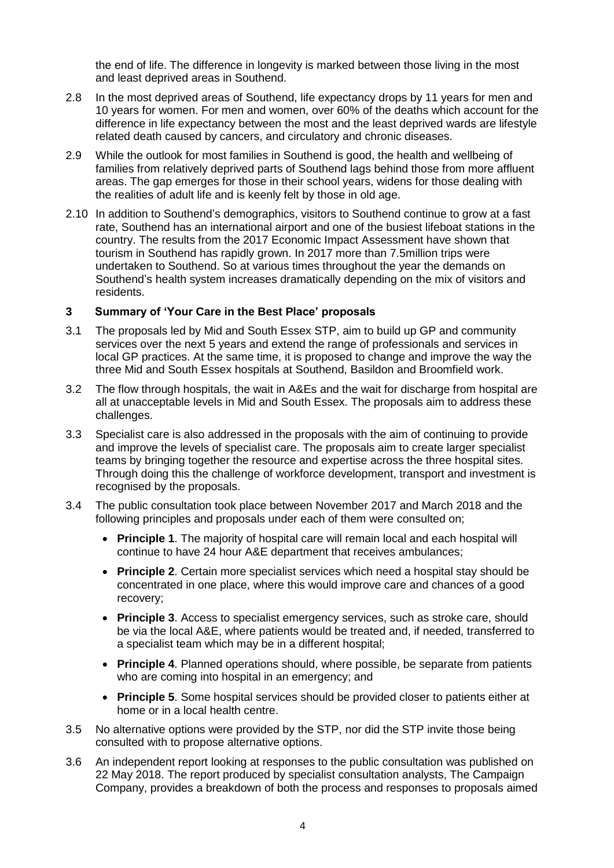the end of life. The difference in longevity is marked between those living in the most and least deprived areas in Southend.

- 2.8 In the most deprived areas of Southend, life expectancy drops by 11 years for men and 10 years for women. For men and women, over 60% of the deaths which account for the difference in life expectancy between the most and the least deprived wards are lifestyle related death caused by cancers, and circulatory and chronic diseases.
- 2.9 While the outlook for most families in Southend is good, the health and wellbeing of families from relatively deprived parts of Southend lags behind those from more affluent areas. The gap emerges for those in their school years, widens for those dealing with the realities of adult life and is keenly felt by those in old age.
- 2.10 In addition to Southend's demographics, visitors to Southend continue to grow at a fast rate, Southend has an international airport and one of the busiest lifeboat stations in the country. The results from the 2017 Economic Impact Assessment have shown that tourism in Southend has rapidly grown. In 2017 more than 7.5million trips were undertaken to Southend. So at various times throughout the year the demands on Southend's health system increases dramatically depending on the mix of visitors and residents.

### **3 Summary of 'Your Care in the Best Place' proposals**

- 3.1 The proposals led by Mid and South Essex STP, aim to build up GP and community services over the next 5 years and extend the range of professionals and services in local GP practices. At the same time, it is proposed to change and improve the way the three Mid and South Essex hospitals at Southend, Basildon and Broomfield work.
- 3.2 The flow through hospitals, the wait in A&Es and the wait for discharge from hospital are all at unacceptable levels in Mid and South Essex. The proposals aim to address these challenges.
- 3.3 Specialist care is also addressed in the proposals with the aim of continuing to provide and improve the levels of specialist care. The proposals aim to create larger specialist teams by bringing together the resource and expertise across the three hospital sites. Through doing this the challenge of workforce development, transport and investment is recognised by the proposals.
- <span id="page-3-0"></span>3.4 The public consultation took place between November 2017 and March 2018 and the following principles and proposals under each of them were consulted on;
	- **Principle 1**. The majority of hospital care will remain local and each hospital will continue to have 24 hour A&E department that receives ambulances;
	- **Principle 2**. Certain more specialist services which need a hospital stay should be concentrated in one place, where this would improve care and chances of a good recovery;
	- **Principle 3**. Access to specialist emergency services, such as stroke care, should be via the local A&E, where patients would be treated and, if needed, transferred to a specialist team which may be in a different hospital;
	- **Principle 4**. Planned operations should, where possible, be separate from patients who are coming into hospital in an emergency; and
	- **Principle 5**. Some hospital services should be provided closer to patients either at home or in a local health centre.
- 3.5 No alternative options were provided by the STP, nor did the STP invite those being consulted with to propose alternative options.
- 3.6 An independent report looking at responses to the public consultation was published on 22 May 2018. The report produced by specialist consultation analysts, The Campaign Company, provides a breakdown of both the process and responses to proposals aimed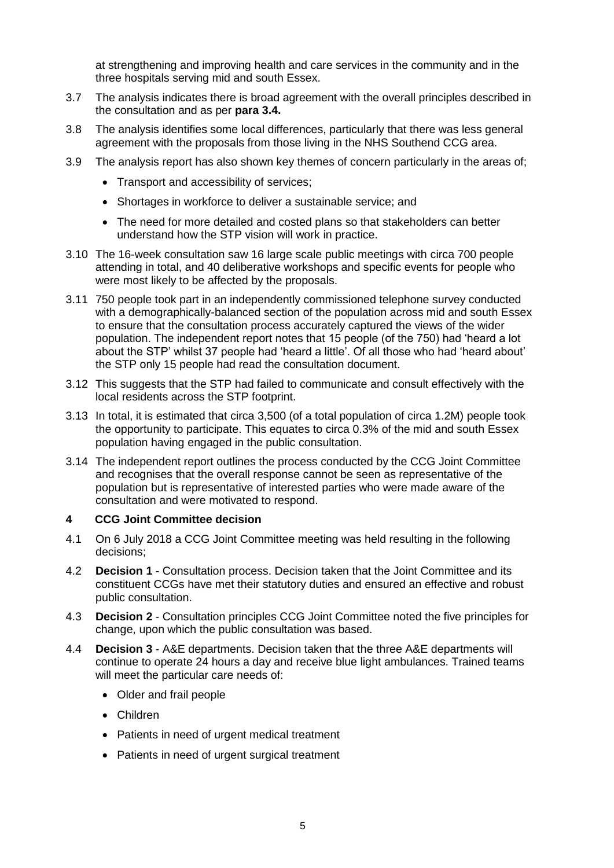at strengthening and improving health and care services in the community and in the three hospitals serving mid and south Essex.

- 3.7 The analysis indicates there is broad agreement with the overall principles described in the consultation and as per **para [3.4.](#page-3-0)**
- 3.8 The analysis identifies some local differences, particularly that there was less general agreement with the proposals from those living in the NHS Southend CCG area.
- 3.9 The analysis report has also shown key themes of concern particularly in the areas of;
	- Transport and accessibility of services:
	- Shortages in workforce to deliver a sustainable service; and
	- The need for more detailed and costed plans so that stakeholders can better understand how the STP vision will work in practice.
- 3.10 The 16-week consultation saw 16 large scale public meetings with circa 700 people attending in total, and 40 deliberative workshops and specific events for people who were most likely to be affected by the proposals.
- 3.11 750 people took part in an independently commissioned telephone survey conducted with a demographically-balanced section of the population across mid and south Essex to ensure that the consultation process accurately captured the views of the wider population. The independent report notes that 15 people (of the 750) had 'heard a lot about the STP' whilst 37 people had 'heard a little'. Of all those who had 'heard about' the STP only 15 people had read the consultation document.
- 3.12 This suggests that the STP had failed to communicate and consult effectively with the local residents across the STP footprint.
- 3.13 In total, it is estimated that circa 3,500 (of a total population of circa 1.2M) people took the opportunity to participate. This equates to circa 0.3% of the mid and south Essex population having engaged in the public consultation.
- 3.14 The independent report outlines the process conducted by the CCG Joint Committee and recognises that the overall response cannot be seen as representative of the population but is representative of interested parties who were made aware of the consultation and were motivated to respond.

#### **4 CCG Joint Committee decision**

- 4.1 On 6 July 2018 a CCG Joint Committee meeting was held resulting in the following decisions;
- 4.2 **Decision 1** Consultation process. Decision taken that the Joint Committee and its constituent CCGs have met their statutory duties and ensured an effective and robust public consultation.
- 4.3 **Decision 2** Consultation principles CCG Joint Committee noted the five principles for change, upon which the public consultation was based.
- 4.4 **Decision 3** A&E departments. Decision taken that the three A&E departments will continue to operate 24 hours a day and receive blue light ambulances. Trained teams will meet the particular care needs of:
	- Older and frail people
	- Children
	- Patients in need of urgent medical treatment
	- Patients in need of urgent surgical treatment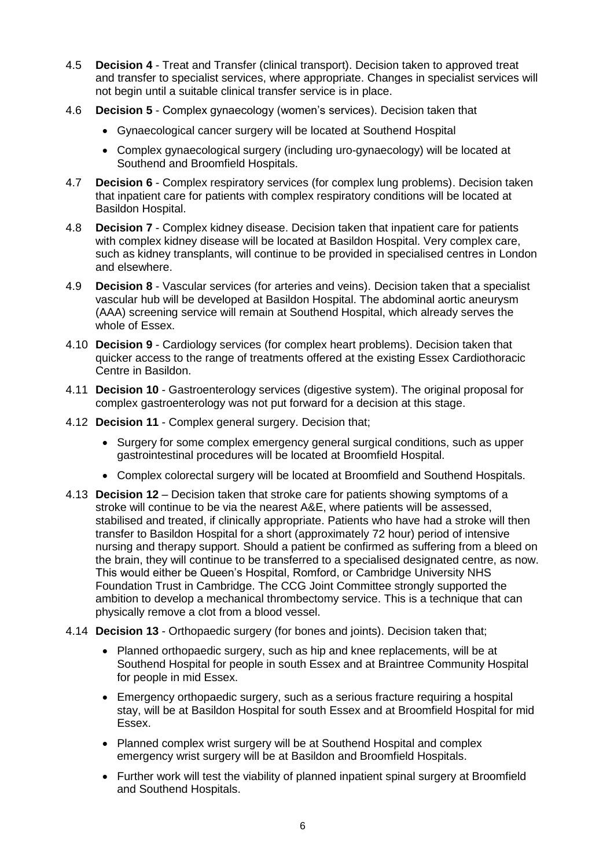- 4.5 **Decision 4** Treat and Transfer (clinical transport). Decision taken to approved treat and transfer to specialist services, where appropriate. Changes in specialist services will not begin until a suitable clinical transfer service is in place.
- 4.6 **Decision 5** Complex gynaecology (women's services). Decision taken that
	- Gynaecological cancer surgery will be located at Southend Hospital
	- Complex gynaecological surgery (including uro-gynaecology) will be located at Southend and Broomfield Hospitals.
- 4.7 **Decision 6** Complex respiratory services (for complex lung problems). Decision taken that inpatient care for patients with complex respiratory conditions will be located at Basildon Hospital.
- 4.8 **Decision 7** Complex kidney disease. Decision taken that inpatient care for patients with complex kidney disease will be located at Basildon Hospital. Very complex care, such as kidney transplants, will continue to be provided in specialised centres in London and elsewhere.
- 4.9 **Decision 8** Vascular services (for arteries and veins). Decision taken that a specialist vascular hub will be developed at Basildon Hospital. The abdominal aortic aneurysm (AAA) screening service will remain at Southend Hospital, which already serves the whole of Essex.
- 4.10 **Decision 9** Cardiology services (for complex heart problems). Decision taken that quicker access to the range of treatments offered at the existing Essex Cardiothoracic Centre in Basildon.
- 4.11 **Decision 10** Gastroenterology services (digestive system). The original proposal for complex gastroenterology was not put forward for a decision at this stage.
- 4.12 **Decision 11** Complex general surgery. Decision that;
	- Surgery for some complex emergency general surgical conditions, such as upper gastrointestinal procedures will be located at Broomfield Hospital.
	- Complex colorectal surgery will be located at Broomfield and Southend Hospitals.
- 4.13 **Decision 12** Decision taken that stroke care for patients showing symptoms of a stroke will continue to be via the nearest A&E, where patients will be assessed, stabilised and treated, if clinically appropriate. Patients who have had a stroke will then transfer to Basildon Hospital for a short (approximately 72 hour) period of intensive nursing and therapy support. Should a patient be confirmed as suffering from a bleed on the brain, they will continue to be transferred to a specialised designated centre, as now. This would either be Queen's Hospital, Romford, or Cambridge University NHS Foundation Trust in Cambridge. The CCG Joint Committee strongly supported the ambition to develop a mechanical thrombectomy service. This is a technique that can physically remove a clot from a blood vessel.
- 4.14 **Decision 13** Orthopaedic surgery (for bones and joints). Decision taken that;
	- Planned orthopaedic surgery, such as hip and knee replacements, will be at Southend Hospital for people in south Essex and at Braintree Community Hospital for people in mid Essex.
	- Emergency orthopaedic surgery, such as a serious fracture requiring a hospital stay, will be at Basildon Hospital for south Essex and at Broomfield Hospital for mid Essex.
	- Planned complex wrist surgery will be at Southend Hospital and complex emergency wrist surgery will be at Basildon and Broomfield Hospitals.
	- Further work will test the viability of planned inpatient spinal surgery at Broomfield and Southend Hospitals.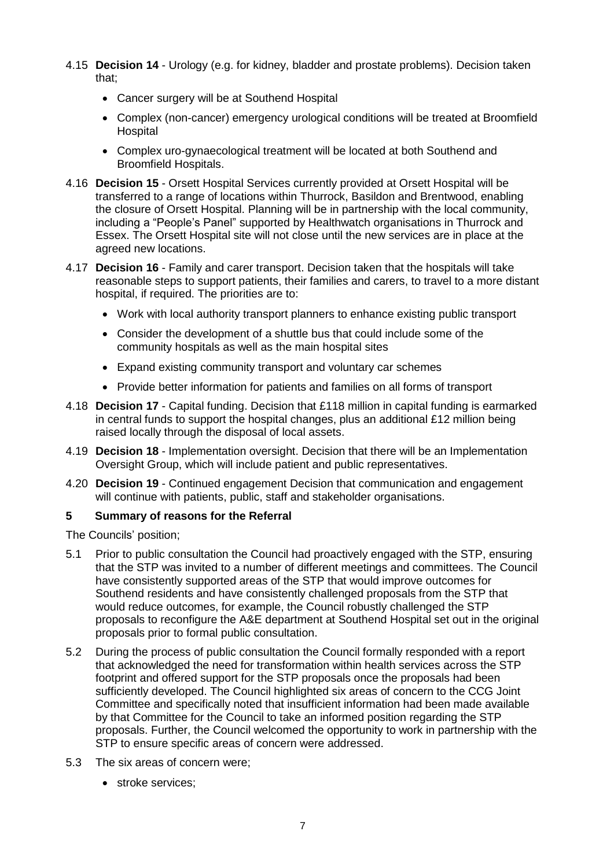- 4.15 **Decision 14**  Urology (e.g. for kidney, bladder and prostate problems). Decision taken that;
	- Cancer surgery will be at Southend Hospital
	- Complex (non-cancer) emergency urological conditions will be treated at Broomfield **Hospital**
	- Complex uro-gynaecological treatment will be located at both Southend and Broomfield Hospitals.
- 4.16 **Decision 15** Orsett Hospital Services currently provided at Orsett Hospital will be transferred to a range of locations within Thurrock, Basildon and Brentwood, enabling the closure of Orsett Hospital. Planning will be in partnership with the local community, including a "People's Panel" supported by Healthwatch organisations in Thurrock and Essex. The Orsett Hospital site will not close until the new services are in place at the agreed new locations.
- 4.17 **Decision 16** Family and carer transport. Decision taken that the hospitals will take reasonable steps to support patients, their families and carers, to travel to a more distant hospital, if required. The priorities are to:
	- Work with local authority transport planners to enhance existing public transport
	- Consider the development of a shuttle bus that could include some of the community hospitals as well as the main hospital sites
	- Expand existing community transport and voluntary car schemes
	- Provide better information for patients and families on all forms of transport
- 4.18 **Decision 17**  Capital funding. Decision that £118 million in capital funding is earmarked in central funds to support the hospital changes, plus an additional £12 million being raised locally through the disposal of local assets.
- 4.19 **Decision 18** Implementation oversight. Decision that there will be an Implementation Oversight Group, which will include patient and public representatives.
- 4.20 **Decision 19** Continued engagement Decision that communication and engagement will continue with patients, public, staff and stakeholder organisations.

### **5 Summary of reasons for the Referral**

The Councils' position;

- 5.1 Prior to public consultation the Council had proactively engaged with the STP, ensuring that the STP was invited to a number of different meetings and committees. The Council have consistently supported areas of the STP that would improve outcomes for Southend residents and have consistently challenged proposals from the STP that would reduce outcomes, for example, the Council robustly challenged the STP proposals to reconfigure the A&E department at Southend Hospital set out in the original proposals prior to formal public consultation.
- 5.2 During the process of public consultation the Council formally responded with a report that acknowledged the need for transformation within health services across the STP footprint and offered support for the STP proposals once the proposals had been sufficiently developed. The Council highlighted six areas of concern to the CCG Joint Committee and specifically noted that insufficient information had been made available by that Committee for the Council to take an informed position regarding the STP proposals. Further, the Council welcomed the opportunity to work in partnership with the STP to ensure specific areas of concern were addressed.
- <span id="page-6-0"></span>5.3 The six areas of concern were;
	- stroke services: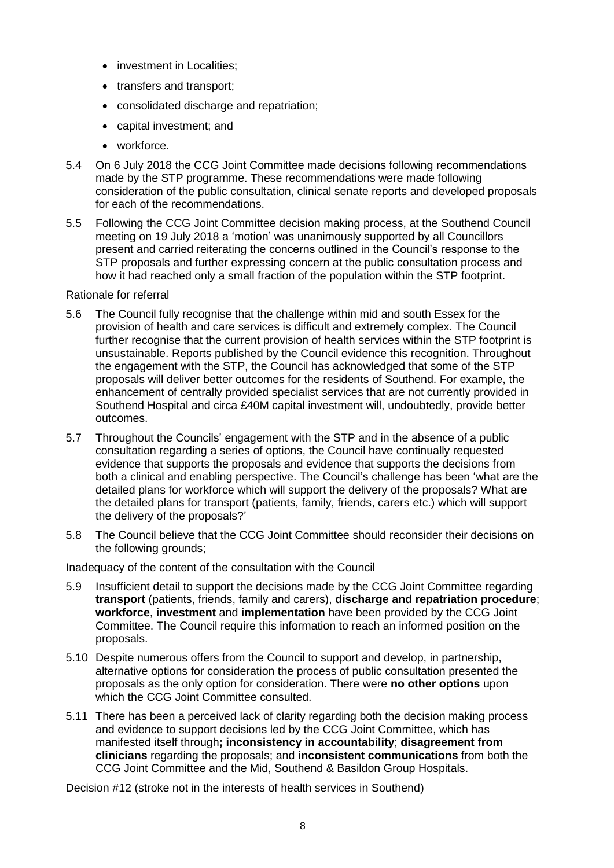- investment in Localities:
- transfers and transport;
- consolidated discharge and repatriation;
- capital investment; and
- workforce.
- 5.4 On 6 July 2018 the CCG Joint Committee made decisions following recommendations made by the STP programme. These recommendations were made following consideration of the public consultation, clinical senate reports and developed proposals for each of the recommendations.
- 5.5 Following the CCG Joint Committee decision making process, at the Southend Council meeting on 19 July 2018 a 'motion' was unanimously supported by all Councillors present and carried reiterating the concerns outlined in the Council's response to the STP proposals and further expressing concern at the public consultation process and how it had reached only a small fraction of the population within the STP footprint.

### Rationale for referral

- 5.6 The Council fully recognise that the challenge within mid and south Essex for the provision of health and care services is difficult and extremely complex. The Council further recognise that the current provision of health services within the STP footprint is unsustainable. Reports published by the Council evidence this recognition. Throughout the engagement with the STP, the Council has acknowledged that some of the STP proposals will deliver better outcomes for the residents of Southend. For example, the enhancement of centrally provided specialist services that are not currently provided in Southend Hospital and circa £40M capital investment will, undoubtedly, provide better outcomes.
- 5.7 Throughout the Councils' engagement with the STP and in the absence of a public consultation regarding a series of options, the Council have continually requested evidence that supports the proposals and evidence that supports the decisions from both a clinical and enabling perspective. The Council's challenge has been 'what are the detailed plans for workforce which will support the delivery of the proposals? What are the detailed plans for transport (patients, family, friends, carers etc.) which will support the delivery of the proposals?'
- 5.8 The Council believe that the CCG Joint Committee should reconsider their decisions on the following grounds;

Inadequacy of the content of the consultation with the Council

- 5.9 Insufficient detail to support the decisions made by the CCG Joint Committee regarding **transport** (patients, friends, family and carers), **discharge and repatriation procedure**; **workforce**, **investment** and **implementation** have been provided by the CCG Joint Committee. The Council require this information to reach an informed position on the proposals.
- 5.10 Despite numerous offers from the Council to support and develop, in partnership, alternative options for consideration the process of public consultation presented the proposals as the only option for consideration. There were **no other options** upon which the CCG Joint Committee consulted.
- 5.11 There has been a perceived lack of clarity regarding both the decision making process and evidence to support decisions led by the CCG Joint Committee, which has manifested itself through**; inconsistency in accountability**; **disagreement from clinicians** regarding the proposals; and **inconsistent communications** from both the CCG Joint Committee and the Mid, Southend & Basildon Group Hospitals.

Decision #12 (stroke not in the interests of health services in Southend)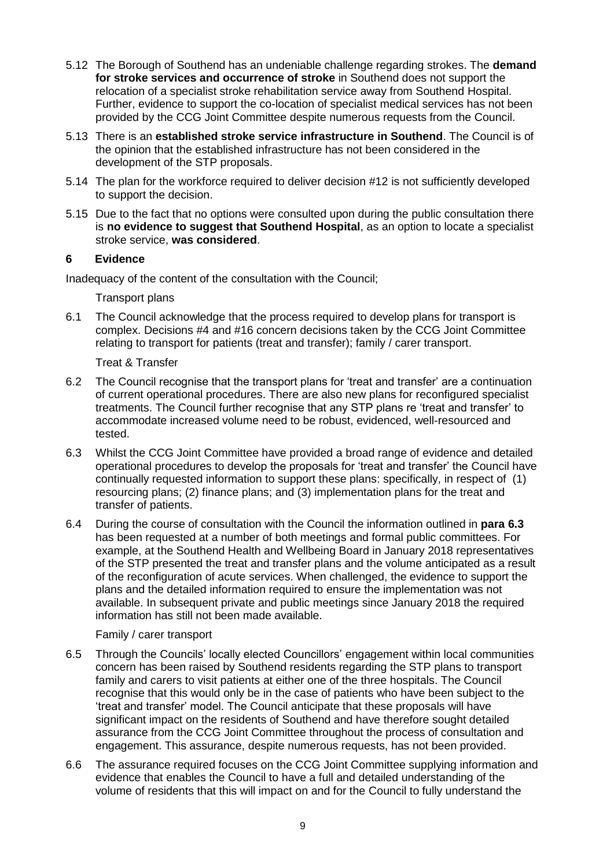- 5.12 The Borough of Southend has an undeniable challenge regarding strokes. The **demand for stroke services and occurrence of stroke** in Southend does not support the relocation of a specialist stroke rehabilitation service away from Southend Hospital. Further, evidence to support the co-location of specialist medical services has not been provided by the CCG Joint Committee despite numerous requests from the Council.
- 5.13 There is an **established stroke service infrastructure in Southend**. The Council is of the opinion that the established infrastructure has not been considered in the development of the STP proposals.
- 5.14 The plan for the workforce required to deliver decision #12 is not sufficiently developed to support the decision.
- 5.15 Due to the fact that no options were consulted upon during the public consultation there is **no evidence to suggest that Southend Hospital**, as an option to locate a specialist stroke service, **was considered**.

### **6 Evidence**

Inadequacy of the content of the consultation with the Council;

Transport plans

6.1 The Council acknowledge that the process required to develop plans for transport is complex. Decisions #4 and #16 concern decisions taken by the CCG Joint Committee relating to transport for patients (treat and transfer); family / carer transport.

Treat & Transfer

- 6.2 The Council recognise that the transport plans for 'treat and transfer' are a continuation of current operational procedures. There are also new plans for reconfigured specialist treatments. The Council further recognise that any STP plans re 'treat and transfer' to accommodate increased volume need to be robust, evidenced, well-resourced and tested.
- <span id="page-8-0"></span>6.3 Whilst the CCG Joint Committee have provided a broad range of evidence and detailed operational procedures to develop the proposals for 'treat and transfer' the Council have continually requested information to support these plans: specifically, in respect of (1) resourcing plans; (2) finance plans; and (3) implementation plans for the treat and transfer of patients.
- 6.4 During the course of consultation with the Council the information outlined in **para [6.3](#page-8-0)** has been requested at a number of both meetings and formal public committees. For example, at the Southend Health and Wellbeing Board in January 2018 representatives of the STP presented the treat and transfer plans and the volume anticipated as a result of the reconfiguration of acute services. When challenged, the evidence to support the plans and the detailed information required to ensure the implementation was not available. In subsequent private and public meetings since January 2018 the required information has still not been made available.

Family / carer transport

- 6.5 Through the Councils' locally elected Councillors' engagement within local communities concern has been raised by Southend residents regarding the STP plans to transport family and carers to visit patients at either one of the three hospitals. The Council recognise that this would only be in the case of patients who have been subject to the 'treat and transfer' model. The Council anticipate that these proposals will have significant impact on the residents of Southend and have therefore sought detailed assurance from the CCG Joint Committee throughout the process of consultation and engagement. This assurance, despite numerous requests, has not been provided.
- 6.6 The assurance required focuses on the CCG Joint Committee supplying information and evidence that enables the Council to have a full and detailed understanding of the volume of residents that this will impact on and for the Council to fully understand the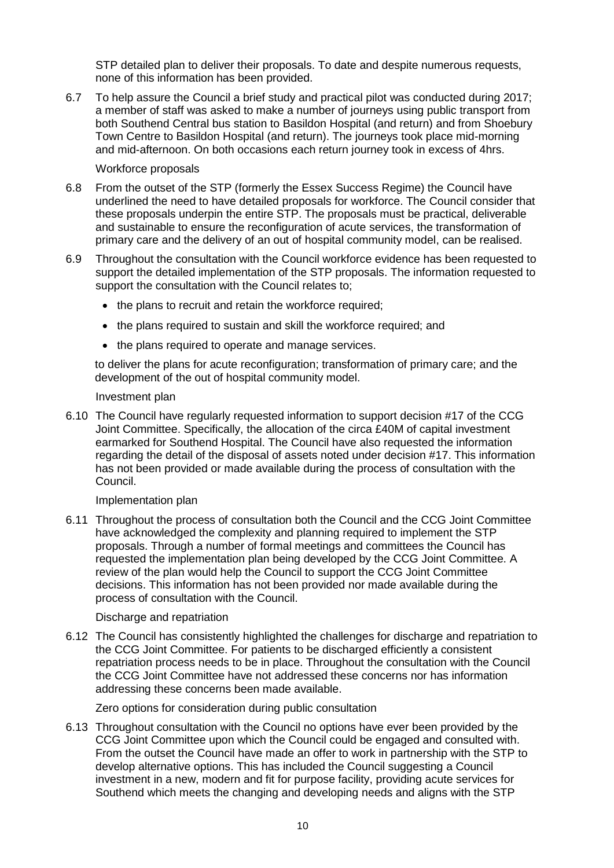STP detailed plan to deliver their proposals. To date and despite numerous requests, none of this information has been provided.

6.7 To help assure the Council a brief study and practical pilot was conducted during 2017; a member of staff was asked to make a number of journeys using public transport from both Southend Central bus station to Basildon Hospital (and return) and from Shoebury Town Centre to Basildon Hospital (and return). The journeys took place mid-morning and mid-afternoon. On both occasions each return journey took in excess of 4hrs.

#### Workforce proposals

- 6.8 From the outset of the STP (formerly the Essex Success Regime) the Council have underlined the need to have detailed proposals for workforce. The Council consider that these proposals underpin the entire STP. The proposals must be practical, deliverable and sustainable to ensure the reconfiguration of acute services, the transformation of primary care and the delivery of an out of hospital community model, can be realised.
- 6.9 Throughout the consultation with the Council workforce evidence has been requested to support the detailed implementation of the STP proposals. The information requested to support the consultation with the Council relates to;
	- the plans to recruit and retain the workforce required;
	- the plans required to sustain and skill the workforce required; and
	- the plans required to operate and manage services.

to deliver the plans for acute reconfiguration; transformation of primary care; and the development of the out of hospital community model.

#### Investment plan

6.10 The Council have regularly requested information to support decision #17 of the CCG Joint Committee. Specifically, the allocation of the circa £40M of capital investment earmarked for Southend Hospital. The Council have also requested the information regarding the detail of the disposal of assets noted under decision #17. This information has not been provided or made available during the process of consultation with the Council.

#### Implementation plan

6.11 Throughout the process of consultation both the Council and the CCG Joint Committee have acknowledged the complexity and planning required to implement the STP proposals. Through a number of formal meetings and committees the Council has requested the implementation plan being developed by the CCG Joint Committee. A review of the plan would help the Council to support the CCG Joint Committee decisions. This information has not been provided nor made available during the process of consultation with the Council.

#### Discharge and repatriation

6.12 The Council has consistently highlighted the challenges for discharge and repatriation to the CCG Joint Committee. For patients to be discharged efficiently a consistent repatriation process needs to be in place. Throughout the consultation with the Council the CCG Joint Committee have not addressed these concerns nor has information addressing these concerns been made available.

Zero options for consideration during public consultation

6.13 Throughout consultation with the Council no options have ever been provided by the CCG Joint Committee upon which the Council could be engaged and consulted with. From the outset the Council have made an offer to work in partnership with the STP to develop alternative options. This has included the Council suggesting a Council investment in a new, modern and fit for purpose facility, providing acute services for Southend which meets the changing and developing needs and aligns with the STP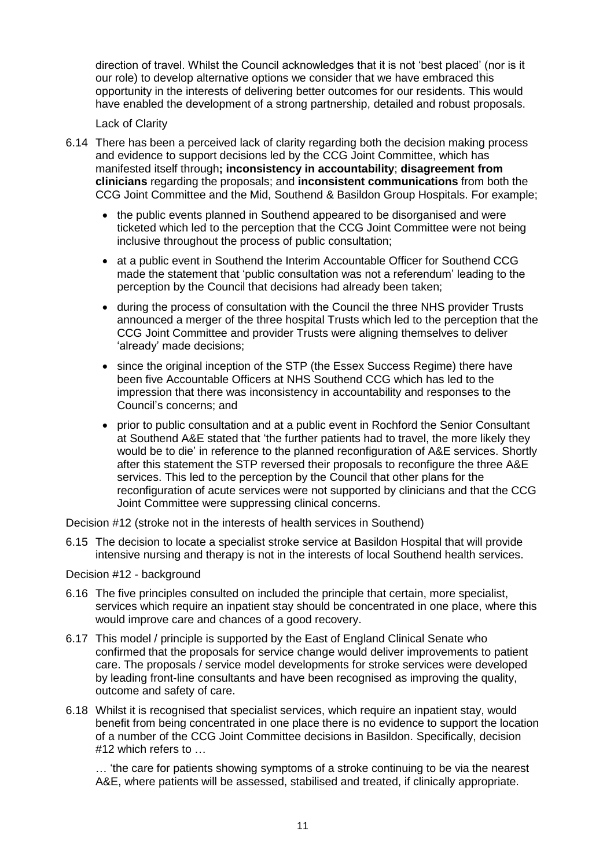direction of travel. Whilst the Council acknowledges that it is not 'best placed' (nor is it our role) to develop alternative options we consider that we have embraced this opportunity in the interests of delivering better outcomes for our residents. This would have enabled the development of a strong partnership, detailed and robust proposals.

### Lack of Clarity

- 6.14 There has been a perceived lack of clarity regarding both the decision making process and evidence to support decisions led by the CCG Joint Committee, which has manifested itself through**; inconsistency in accountability**; **disagreement from clinicians** regarding the proposals; and **inconsistent communications** from both the CCG Joint Committee and the Mid, Southend & Basildon Group Hospitals. For example;
	- the public events planned in Southend appeared to be disorganised and were ticketed which led to the perception that the CCG Joint Committee were not being inclusive throughout the process of public consultation;
	- at a public event in Southend the Interim Accountable Officer for Southend CCG made the statement that 'public consultation was not a referendum' leading to the perception by the Council that decisions had already been taken;
	- during the process of consultation with the Council the three NHS provider Trusts announced a merger of the three hospital Trusts which led to the perception that the CCG Joint Committee and provider Trusts were aligning themselves to deliver 'already' made decisions;
	- since the original inception of the STP (the Essex Success Regime) there have been five Accountable Officers at NHS Southend CCG which has led to the impression that there was inconsistency in accountability and responses to the Council's concerns; and
	- prior to public consultation and at a public event in Rochford the Senior Consultant at Southend A&E stated that 'the further patients had to travel, the more likely they would be to die' in reference to the planned reconfiguration of A&E services. Shortly after this statement the STP reversed their proposals to reconfigure the three A&E services. This led to the perception by the Council that other plans for the reconfiguration of acute services were not supported by clinicians and that the CCG Joint Committee were suppressing clinical concerns.

Decision #12 (stroke not in the interests of health services in Southend)

6.15 The decision to locate a specialist stroke service at Basildon Hospital that will provide intensive nursing and therapy is not in the interests of local Southend health services.

Decision #12 - background

- 6.16 The five principles consulted on included the principle that certain, more specialist, services which require an inpatient stay should be concentrated in one place, where this would improve care and chances of a good recovery.
- 6.17 This model / principle is supported by the East of England Clinical Senate who confirmed that the proposals for service change would deliver improvements to patient care. The proposals / service model developments for stroke services were developed by leading front-line consultants and have been recognised as improving the quality, outcome and safety of care.
- 6.18 Whilst it is recognised that specialist services, which require an inpatient stay, would benefit from being concentrated in one place there is no evidence to support the location of a number of the CCG Joint Committee decisions in Basildon. Specifically, decision #12 which refers to …

… 'the care for patients showing symptoms of a stroke continuing to be via the nearest A&E, where patients will be assessed, stabilised and treated, if clinically appropriate.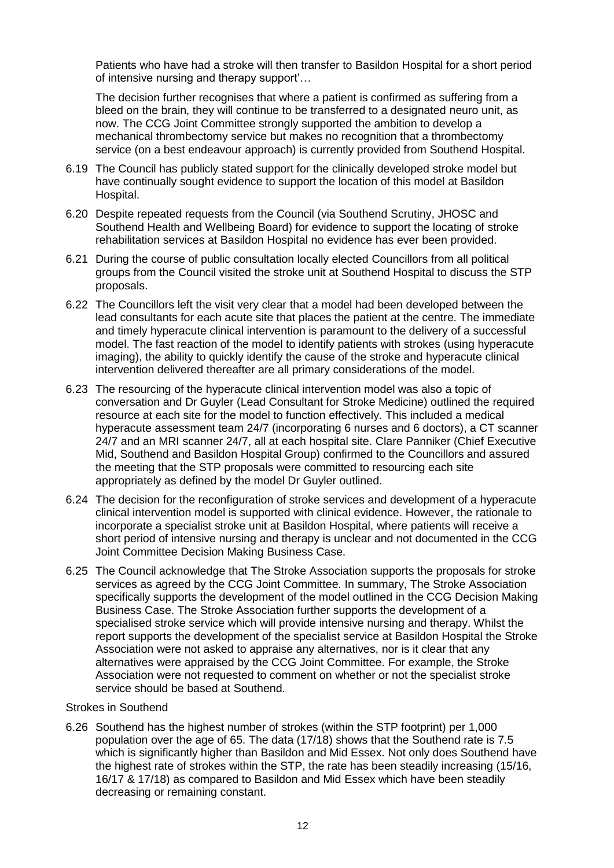Patients who have had a stroke will then transfer to Basildon Hospital for a short period of intensive nursing and therapy support'…

The decision further recognises that where a patient is confirmed as suffering from a bleed on the brain, they will continue to be transferred to a designated neuro unit, as now. The CCG Joint Committee strongly supported the ambition to develop a mechanical thrombectomy service but makes no recognition that a thrombectomy service (on a best endeavour approach) is currently provided from Southend Hospital.

- 6.19 The Council has publicly stated support for the clinically developed stroke model but have continually sought evidence to support the location of this model at Basildon Hospital.
- 6.20 Despite repeated requests from the Council (via Southend Scrutiny, JHOSC and Southend Health and Wellbeing Board) for evidence to support the locating of stroke rehabilitation services at Basildon Hospital no evidence has ever been provided.
- 6.21 During the course of public consultation locally elected Councillors from all political groups from the Council visited the stroke unit at Southend Hospital to discuss the STP proposals.
- 6.22 The Councillors left the visit very clear that a model had been developed between the lead consultants for each acute site that places the patient at the centre. The immediate and timely hyperacute clinical intervention is paramount to the delivery of a successful model. The fast reaction of the model to identify patients with strokes (using hyperacute imaging), the ability to quickly identify the cause of the stroke and hyperacute clinical intervention delivered thereafter are all primary considerations of the model.
- <span id="page-11-0"></span>6.23 The resourcing of the hyperacute clinical intervention model was also a topic of conversation and Dr Guyler (Lead Consultant for Stroke Medicine) outlined the required resource at each site for the model to function effectively. This included a medical hyperacute assessment team 24/7 (incorporating 6 nurses and 6 doctors), a CT scanner 24/7 and an MRI scanner 24/7, all at each hospital site. Clare Panniker (Chief Executive Mid, Southend and Basildon Hospital Group) confirmed to the Councillors and assured the meeting that the STP proposals were committed to resourcing each site appropriately as defined by the model Dr Guyler outlined.
- 6.24 The decision for the reconfiguration of stroke services and development of a hyperacute clinical intervention model is supported with clinical evidence. However, the rationale to incorporate a specialist stroke unit at Basildon Hospital, where patients will receive a short period of intensive nursing and therapy is unclear and not documented in the CCG Joint Committee Decision Making Business Case.
- 6.25 The Council acknowledge that The Stroke Association supports the proposals for stroke services as agreed by the CCG Joint Committee. In summary, The Stroke Association specifically supports the development of the model outlined in the CCG Decision Making Business Case. The Stroke Association further supports the development of a specialised stroke service which will provide intensive nursing and therapy. Whilst the report supports the development of the specialist service at Basildon Hospital the Stroke Association were not asked to appraise any alternatives, nor is it clear that any alternatives were appraised by the CCG Joint Committee. For example, the Stroke Association were not requested to comment on whether or not the specialist stroke service should be based at Southend.

### Strokes in Southend

6.26 Southend has the highest number of strokes (within the STP footprint) per 1,000 population over the age of 65. The data (17/18) shows that the Southend rate is 7.5 which is significantly higher than Basildon and Mid Essex. Not only does Southend have the highest rate of strokes within the STP, the rate has been steadily increasing (15/16, 16/17 & 17/18) as compared to Basildon and Mid Essex which have been steadily decreasing or remaining constant.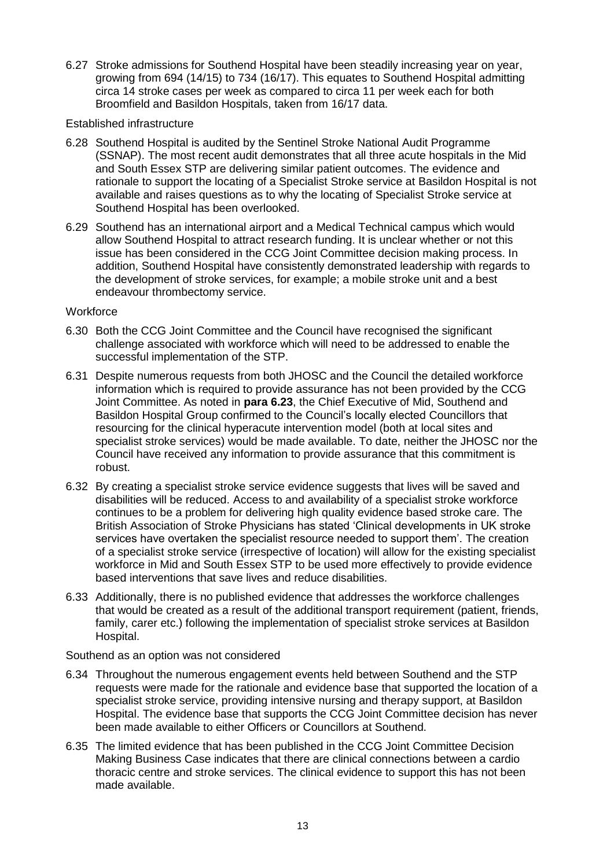6.27 Stroke admissions for Southend Hospital have been steadily increasing year on year, growing from 694 (14/15) to 734 (16/17). This equates to Southend Hospital admitting circa 14 stroke cases per week as compared to circa 11 per week each for both Broomfield and Basildon Hospitals, taken from 16/17 data.

### Established infrastructure

- 6.28 Southend Hospital is audited by the Sentinel Stroke National Audit Programme (SSNAP). The most recent audit demonstrates that all three acute hospitals in the Mid and South Essex STP are delivering similar patient outcomes. The evidence and rationale to support the locating of a Specialist Stroke service at Basildon Hospital is not available and raises questions as to why the locating of Specialist Stroke service at Southend Hospital has been overlooked.
- 6.29 Southend has an international airport and a Medical Technical campus which would allow Southend Hospital to attract research funding. It is unclear whether or not this issue has been considered in the CCG Joint Committee decision making process. In addition, Southend Hospital have consistently demonstrated leadership with regards to the development of stroke services, for example; a mobile stroke unit and a best endeavour thrombectomy service.

### **Workforce**

- 6.30 Both the CCG Joint Committee and the Council have recognised the significant challenge associated with workforce which will need to be addressed to enable the successful implementation of the STP.
- 6.31 Despite numerous requests from both JHOSC and the Council the detailed workforce information which is required to provide assurance has not been provided by the CCG Joint Committee. As noted in **para [6.23](#page-11-0)**, the Chief Executive of Mid, Southend and Basildon Hospital Group confirmed to the Council's locally elected Councillors that resourcing for the clinical hyperacute intervention model (both at local sites and specialist stroke services) would be made available. To date, neither the JHOSC nor the Council have received any information to provide assurance that this commitment is robust.
- 6.32 By creating a specialist stroke service evidence suggests that lives will be saved and disabilities will be reduced. Access to and availability of a specialist stroke workforce continues to be a problem for delivering high quality evidence based stroke care. The British Association of Stroke Physicians has stated 'Clinical developments in UK stroke services have overtaken the specialist resource needed to support them'. The creation of a specialist stroke service (irrespective of location) will allow for the existing specialist workforce in Mid and South Essex STP to be used more effectively to provide evidence based interventions that save lives and reduce disabilities.
- 6.33 Additionally, there is no published evidence that addresses the workforce challenges that would be created as a result of the additional transport requirement (patient, friends, family, carer etc.) following the implementation of specialist stroke services at Basildon Hospital.

Southend as an option was not considered

- 6.34 Throughout the numerous engagement events held between Southend and the STP requests were made for the rationale and evidence base that supported the location of a specialist stroke service, providing intensive nursing and therapy support, at Basildon Hospital. The evidence base that supports the CCG Joint Committee decision has never been made available to either Officers or Councillors at Southend.
- 6.35 The limited evidence that has been published in the CCG Joint Committee Decision Making Business Case indicates that there are clinical connections between a cardio thoracic centre and stroke services. The clinical evidence to support this has not been made available.